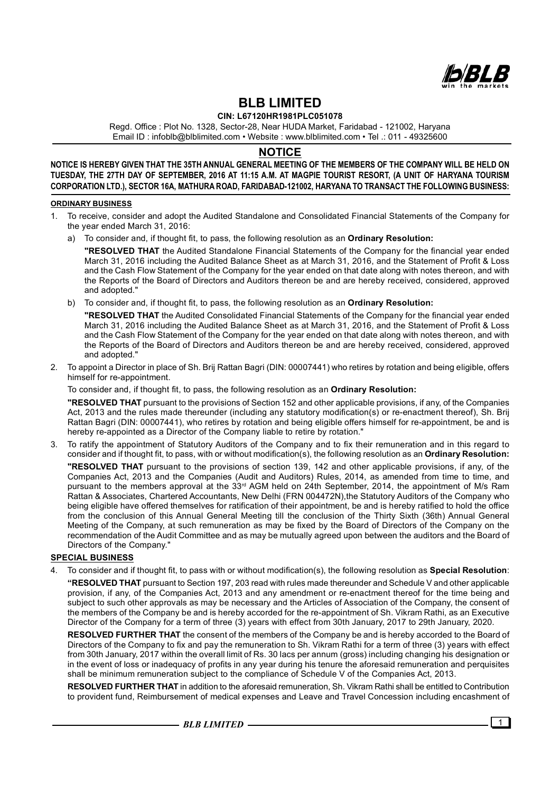

# **BLB LIMITED**

### **CIN: L67120HR1981PLC051078**

Regd. Office : Plot No. 1328, Sector-28, Near HUDA Market, Faridabad - 121002, Haryana Email ID : infoblb@blblimited.com • Website : www.blblimited.com • Tel .: 011 - 49325600

## **NOTICE**

**NOTICE IS HEREBY GIVEN THAT THE 35TH ANNUAL GENERAL MEETING OF THE MEMBERS OF THE COMPANY WILL BE HELD ON TUESDAY, THE 27TH DAY OF SEPTEMBER, 2016 AT 11:15 A.M. AT MAGPIE TOURIST RESORT, (A UNIT OF HARYANA TOURISM CORPORATION LTD.), SECTOR 16A, MATHURA ROAD, FARIDABAD-121002, HARYANA TO TRANSACT THE FOLLOWING BUSINESS:**

### **ORDINARY BUSINESS**

- 1. To receive, consider and adopt the Audited Standalone and Consolidated Financial Statements of the Company for the year ended March 31, 2016:
	- a) To consider and, if thought fit, to pass, the following resolution as an **Ordinary Resolution:**

**"RESOLVED THAT** the Audited Standalone Financial Statements of the Company for the financial year ended March 31, 2016 including the Audited Balance Sheet as at March 31, 2016, and the Statement of Profit & Loss and the Cash Flow Statement of the Company for the year ended on that date along with notes thereon, and with the Reports of the Board of Directors and Auditors thereon be and are hereby received, considered, approved and adopted."

b) To consider and, if thought fit, to pass, the following resolution as an **Ordinary Resolution:**

**"RESOLVED THAT** the Audited Consolidated Financial Statements of the Company for the financial year ended March 31, 2016 including the Audited Balance Sheet as at March 31, 2016, and the Statement of Profit & Loss and the Cash Flow Statement of the Company for the year ended on that date along with notes thereon, and with the Reports of the Board of Directors and Auditors thereon be and are hereby received, considered, approved and adopted."

2. To appoint a Director in place of Sh. Brij Rattan Bagri (DIN: 00007441) who retires by rotation and being eligible, offers himself for re-appointment.

To consider and, if thought fit, to pass, the following resolution as an **Ordinary Resolution:**

**"RESOLVED THAT** pursuant to the provisions of Section 152 and other applicable provisions, if any, of the Companies Act, 2013 and the rules made thereunder (including any statutory modification(s) or re-enactment thereof), Sh. Brij Rattan Bagri (DIN: 00007441), who retires by rotation and being eligible offers himself for re-appointment, be and is hereby re-appointed as a Director of the Company liable to retire by rotation."

3. To ratify the appointment of Statutory Auditors of the Company and to fix their remuneration and in this regard to consider and if thought fit, to pass, with or without modification(s), the following resolution as an **Ordinary Resolution:**

**"RESOLVED THAT** pursuant to the provisions of section 139, 142 and other applicable provisions, if any, of the Companies Act, 2013 and the Companies (Audit and Auditors) Rules, 2014, as amended from time to time, and pursuant to the members approval at the 33rd AGM held on 24th September, 2014, the appointment of M/s Ram Rattan & Associates, Chartered Accountants, New Delhi (FRN 004472N),the Statutory Auditors of the Company who being eligible have offered themselves for ratification of their appointment, be and is hereby ratified to hold the office from the conclusion of this Annual General Meeting till the conclusion of the Thirty Sixth (36th) Annual General Meeting of the Company, at such remuneration as may be fixed by the Board of Directors of the Company on the recommendation of the Audit Committee and as may be mutually agreed upon between the auditors and the Board of Directors of the Company."

### **SPECIAL BUSINESS**

4. To consider and if thought fit, to pass with or without modification(s), the following resolution as **Special Resolution**:

**"RESOLVED THAT** pursuant to Section 197, 203 read with rules made thereunder and Schedule V and other applicable provision, if any, of the Companies Act, 2013 and any amendment or re-enactment thereof for the time being and subject to such other approvals as may be necessary and the Articles of Association of the Company, the consent of the members of the Company be and is hereby accorded for the re-appointment of Sh. Vikram Rathi, as an Executive Director of the Company for a term of three (3) years with effect from 30th January, 2017 to 29th January, 2020.

**RESOLVED FURTHER THAT** the consent of the members of the Company be and is hereby accorded to the Board of Directors of the Company to fix and pay the remuneration to Sh. Vikram Rathi for a term of three (3) years with effect from 30th January, 2017 within the overall limit of Rs. 30 lacs per annum (gross) including changing his designation or in the event of loss or inadequacy of profits in any year during his tenure the aforesaid remuneration and perquisites shall be minimum remuneration subject to the compliance of Schedule V of the Companies Act, 2013.

**RESOLVED FURTHER THAT** in addition to the aforesaid remuneration, Sh. Vikram Rathi shall be entitled to Contribution to provident fund, Reimbursement of medical expenses and Leave and Travel Concession including encashment of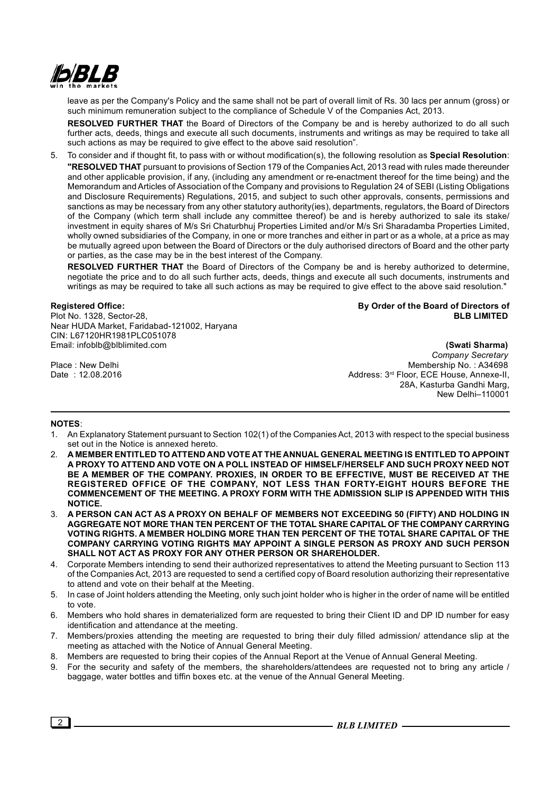

leave as per the Company's Policy and the same shall not be part of overall limit of Rs. 30 lacs per annum (gross) or such minimum remuneration subject to the compliance of Schedule V of the Companies Act, 2013.

**RESOLVED FURTHER THAT** the Board of Directors of the Company be and is hereby authorized to do all such further acts, deeds, things and execute all such documents, instruments and writings as may be required to take all such actions as may be required to give effect to the above said resolution".

5. To consider and if thought fit, to pass with or without modification(s), the following resolution as **Special Resolution**: **"RESOLVED THAT** pursuant to provisions of Section 179 of the Companies Act, 2013 read with rules made thereunder and other applicable provision, if any, (including any amendment or re-enactment thereof for the time being) and the Memorandum and Articles of Association of the Company and provisions to Regulation 24 of SEBI (Listing Obligations and Disclosure Requirements) Regulations, 2015, and subject to such other approvals, consents, permissions and sanctions as may be necessary from any other statutory authority(ies), departments, regulators, the Board of Directors of the Company (which term shall include any committee thereof) be and is hereby authorized to sale its stake/ investment in equity shares of M/s Sri Chaturbhuj Properties Limited and/or M/s Sri Sharadamba Properties Limited, wholly owned subsidiaries of the Company, in one or more tranches and either in part or as a whole, at a price as may be mutually agreed upon between the Board of Directors or the duly authorised directors of Board and the other party or parties, as the case may be in the best interest of the Company.

**RESOLVED FURTHER THAT** the Board of Directors of the Company be and is hereby authorized to determine, negotiate the price and to do all such further acts, deeds, things and execute all such documents, instruments and writings as may be required to take all such actions as may be required to give effect to the above said resolution."

Plot No. 1328, Sector-28, Near HUDA Market, Faridabad-121002, Haryana CIN: L67120HR1981PLC051078 Email: infoblb@blblimited.com **(Swati Sharma)**

**Registered Office: By Order of the Board of Directors of**

*Company Secretary* Place : New Delhi Membership No. : A34698 Date : 12.08.2016 **Date : 12.08.2016** Address: 3<sup>rd</sup> Floor, ECE House, Annexe-II, 28A, Kasturba Gandhi Marg, New Delhi–110001

### **NOTES**:

- 1. An Explanatory Statement pursuant to Section 102(1) of the Companies Act, 2013 with respect to the special business set out in the Notice is annexed hereto.
- 2. **A MEMBER ENTITLED TO ATTEND AND VOTE AT THE ANNUAL GENERAL MEETING IS ENTITLED TO APPOINT A PROXY TO ATTEND AND VOTE ON A POLL INSTEAD OF HIMSELF/HERSELF AND SUCH PROXY NEED NOT BE A MEMBER OF THE COMPANY. PROXIES, IN ORDER TO BE EFFECTIVE, MUST BE RECEIVED AT THE REGISTERED OFFICE OF THE COMPANY, NOT LESS THAN FORTY-EIGHT HOURS BEFORE THE COMMENCEMENT OF THE MEETING. A PROXY FORM WITH THE ADMISSION SLIP IS APPENDED WITH THIS NOTICE.**
- 3. **A PERSON CAN ACT AS A PROXY ON BEHALF OF MEMBERS NOT EXCEEDING 50 (FIFTY) AND HOLDING IN AGGREGATE NOT MORE THAN TEN PERCENT OF THE TOTAL SHARE CAPITAL OF THE COMPANY CARRYING VOTING RIGHTS. A MEMBER HOLDING MORE THAN TEN PERCENT OF THE TOTAL SHARE CAPITAL OF THE COMPANY CARRYING VOTING RIGHTS MAY APPOINT A SINGLE PERSON AS PROXY AND SUCH PERSON SHALL NOT ACT AS PROXY FOR ANY OTHER PERSON OR SHAREHOLDER.**
- 4. Corporate Members intending to send their authorized representatives to attend the Meeting pursuant to Section 113 of the Companies Act, 2013 are requested to send a certified copy of Board resolution authorizing their representative to attend and vote on their behalf at the Meeting.
- 5. In case of Joint holders attending the Meeting, only such joint holder who is higher in the order of name will be entitled to vote.
- 6. Members who hold shares in dematerialized form are requested to bring their Client ID and DP ID number for easy identification and attendance at the meeting.
- 7. Members/proxies attending the meeting are requested to bring their duly filled admission/ attendance slip at the meeting as attached with the Notice of Annual General Meeting.
- 8. Members are requested to bring their copies of the Annual Report at the Venue of Annual General Meeting.
- 9. For the security and safety of the members, the shareholders/attendees are requested not to bring any article / baggage, water bottles and tiffin boxes etc. at the venue of the Annual General Meeting.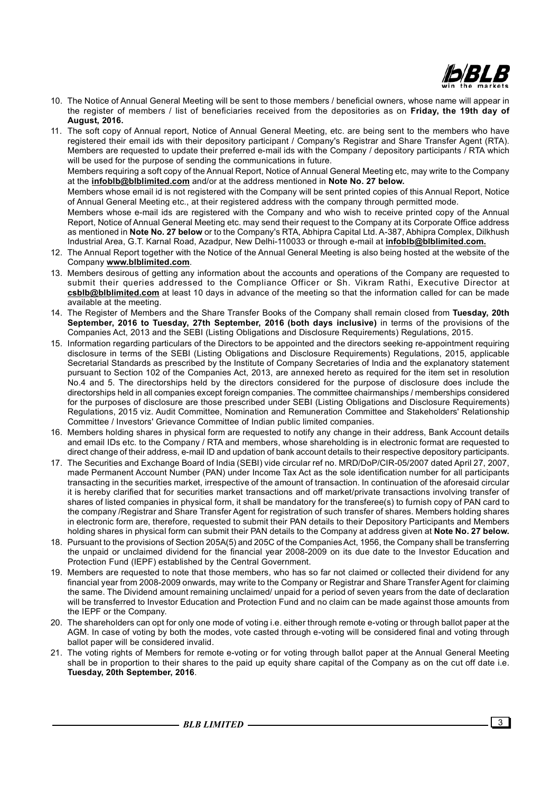

- 10. The Notice of Annual General Meeting will be sent to those members / beneficial owners, whose name will appear in the register of members / list of beneficiaries received from the depositories as on **Friday, the 19th day of August, 2016.**
- 11. The soft copy of Annual report, Notice of Annual General Meeting, etc. are being sent to the members who have registered their email ids with their depository participant / Company's Registrar and Share Transfer Agent (RTA). Members are requested to update their preferred e-mail ids with the Company / depository participants / RTA which will be used for the purpose of sending the communications in future.

Members requiring a soft copy of the Annual Report, Notice of Annual General Meeting etc, may write to the Company at the **infoblb@blblimited.com** and/or at the address mentioned in **Note No. 27 below.**

Members whose email id is not registered with the Company will be sent printed copies of this Annual Report, Notice of Annual General Meeting etc., at their registered address with the company through permitted mode.

Members whose e-mail ids are registered with the Company and who wish to receive printed copy of the Annual Report, Notice of Annual General Meeting etc. may send their request to the Company at its Corporate Office address as mentioned in **Note No. 27 below** or to the Company's RTA, Abhipra Capital Ltd. A-387, Abhipra Complex, Dilkhush Industrial Area, G.T. Karnal Road, Azadpur, New Delhi-110033 or through e-mail at **infoblb@blblimited.com.**

- 12. The Annual Report together with the Notice of the Annual General Meeting is also being hosted at the website of the Company **www.blblimited.com**.
- 13. Members desirous of getting any information about the accounts and operations of the Company are requested to submit their queries addressed to the Compliance Officer or Sh. Vikram Rathi, Executive Director at **csblb@blblimited.com** at least 10 days in advance of the meeting so that the information called for can be made available at the meeting.
- 14. The Register of Members and the Share Transfer Books of the Company shall remain closed from **Tuesday, 20th September, 2016 to Tuesday, 27th September, 2016 (both days inclusive)** in terms of the provisions of the Companies Act, 2013 and the SEBI (Listing Obligations and Disclosure Requirements) Regulations, 2015.
- 15. Information regarding particulars of the Directors to be appointed and the directors seeking re-appointment requiring disclosure in terms of the SEBI (Listing Obligations and Disclosure Requirements) Regulations, 2015, applicable Secretarial Standards as prescribed by the Institute of Company Secretaries of India and the explanatory statement pursuant to Section 102 of the Companies Act, 2013, are annexed hereto as required for the item set in resolution No.4 and 5. The directorships held by the directors considered for the purpose of disclosure does include the directorships held in all companies except foreign companies. The committee chairmanships / memberships considered for the purposes of disclosure are those prescribed under SEBI (Listing Obligations and Disclosure Requirements) Regulations, 2015 viz. Audit Committee, Nomination and Remuneration Committee and Stakeholders' Relationship Committee / Investors' Grievance Committee of Indian public limited companies.
- 16. Members holding shares in physical form are requested to notify any change in their address, Bank Account details and email IDs etc. to the Company / RTA and members, whose shareholding is in electronic format are requested to direct change of their address, e-mail ID and updation of bank account details to their respective depository participants.
- 17. The Securities and Exchange Board of India (SEBI) vide circular ref no. MRD/DoP/CIR-05/2007 dated April 27, 2007, made Permanent Account Number (PAN) under Income Tax Act as the sole identification number for all participants transacting in the securities market, irrespective of the amount of transaction. In continuation of the aforesaid circular it is hereby clarified that for securities market transactions and off market/private transactions involving transfer of shares of listed companies in physical form, it shall be mandatory for the transferee(s) to furnish copy of PAN card to the company /Registrar and Share Transfer Agent for registration of such transfer of shares. Members holding shares in electronic form are, therefore, requested to submit their PAN details to their Depository Participants and Members holding shares in physical form can submit their PAN details to the Company at address given at **Note No. 27 below.**
- 18. Pursuant to the provisions of Section 205A(5) and 205C of the Companies Act, 1956, the Company shall be transferring the unpaid or unclaimed dividend for the financial year 2008-2009 on its due date to the Investor Education and Protection Fund (IEPF) established by the Central Government.
- 19. Members are requested to note that those members, who has so far not claimed or collected their dividend for any financial year from 2008-2009 onwards, may write to the Company or Registrar and Share Transfer Agent for claiming the same. The Dividend amount remaining unclaimed/ unpaid for a period of seven years from the date of declaration will be transferred to Investor Education and Protection Fund and no claim can be made against those amounts from the IEPF or the Company.
- 20. The shareholders can opt for only one mode of voting i.e. either through remote e-voting or through ballot paper at the AGM. In case of voting by both the modes, vote casted through e-voting will be considered final and voting through ballot paper will be considered invalid.
- 21. The voting rights of Members for remote e-voting or for voting through ballot paper at the Annual General Meeting shall be in proportion to their shares to the paid up equity share capital of the Company as on the cut off date i.e. **Tuesday, 20th September, 2016**.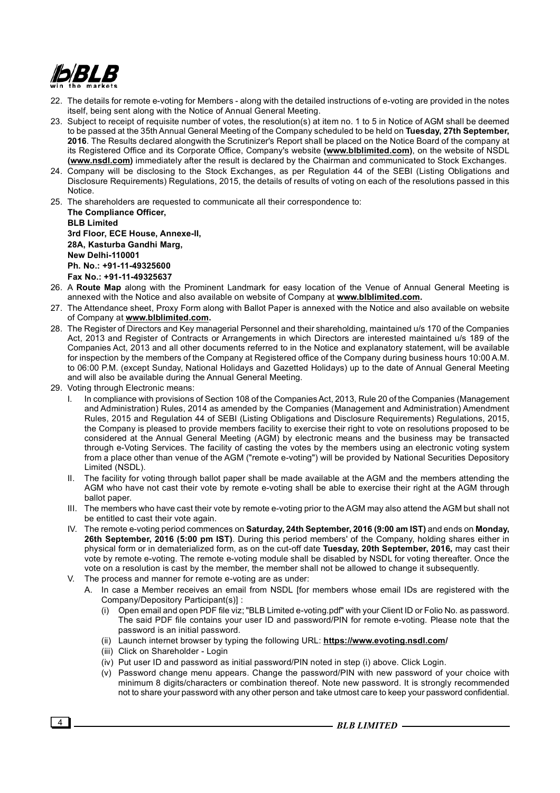

- 22. The details for remote e-voting for Members along with the detailed instructions of e-voting are provided in the notes itself, being sent along with the Notice of Annual General Meeting.
- 23. Subject to receipt of requisite number of votes, the resolution(s) at item no. 1 to 5 in Notice of AGM shall be deemed to be passed at the 35th Annual General Meeting of the Company scheduled to be held on **Tuesday, 27th September, 2016**. The Results declared alongwith the Scrutinizer's Report shall be placed on the Notice Board of the company at its Registered Office and its Corporate Office, Company's website **(www.blblimited.com)**, on the website of NSDL **(www.nsdl.com)** immediately after the result is declared by the Chairman and communicated to Stock Exchanges.
- 24. Company will be disclosing to the Stock Exchanges, as per Regulation 44 of the SEBI (Listing Obligations and Disclosure Requirements) Regulations, 2015, the details of results of voting on each of the resolutions passed in this Notice.
- 25. The shareholders are requested to communicate all their correspondence to:

| The Compliance Officer,          |
|----------------------------------|
| <b>BLB Limited</b>               |
| 3rd Floor, ECE House, Annexe-II, |
| 28A, Kasturba Gandhi Marq,       |
| New Delhi-110001                 |
| Ph. No.: +91-11-49325600         |
| Fax No.: +91-11-49325637         |

- 26. A **Route Map** along with the Prominent Landmark for easy location of the Venue of Annual General Meeting is annexed with the Notice and also available on website of Company at **www.blblimited.com.**
- 27. The Attendance sheet, Proxy Form along with Ballot Paper is annexed with the Notice and also available on website of Company at **www.blblimited.com.**
- 28. The Register of Directors and Key managerial Personnel and their shareholding, maintained u/s 170 of the Companies Act, 2013 and Register of Contracts or Arrangements in which Directors are interested maintained u/s 189 of the Companies Act, 2013 and all other documents referred to in the Notice and explanatory statement, will be available for inspection by the members of the Company at Registered office of the Company during business hours 10:00 A.M. to 06:00 P.M. (except Sunday, National Holidays and Gazetted Holidays) up to the date of Annual General Meeting and will also be available during the Annual General Meeting.
- 29. Voting through Electronic means:
	- I. In compliance with provisions of Section 108 of the Companies Act, 2013, Rule 20 of the Companies (Management and Administration) Rules, 2014 as amended by the Companies (Management and Administration) Amendment Rules, 2015 and Regulation 44 of SEBI (Listing Obligations and Disclosure Requirements) Regulations, 2015, the Company is pleased to provide members facility to exercise their right to vote on resolutions proposed to be considered at the Annual General Meeting (AGM) by electronic means and the business may be transacted through e-Voting Services. The facility of casting the votes by the members using an electronic voting system from a place other than venue of the AGM ("remote e-voting") will be provided by National Securities Depository Limited (NSDL).
	- II. The facility for voting through ballot paper shall be made available at the AGM and the members attending the AGM who have not cast their vote by remote e-voting shall be able to exercise their right at the AGM through ballot paper.
	- III. The members who have cast their vote by remote e-voting prior to the AGM may also attend the AGM but shall not be entitled to cast their vote again.
	- IV. The remote e-voting period commences on **Saturday, 24th September, 2016 (9:00 am IST)** and ends on **Monday, 26th September, 2016 (5:00 pm IST)**. During this period members' of the Company, holding shares either in physical form or in dematerialized form, as on the cut-off date **Tuesday, 20th September, 2016,** may cast their vote by remote e-voting. The remote e-voting module shall be disabled by NSDL for voting thereafter. Once the vote on a resolution is cast by the member, the member shall not be allowed to change it subsequently.
	- V. The process and manner for remote e-voting are as under:
		- A. In case a Member receives an email from NSDL [for members whose email IDs are registered with the Company/Depository Participant(s)] :
			- (i) Open email and open PDF file viz; "BLB Limited e-voting.pdf" with your Client ID or Folio No. as password. The said PDF file contains your user ID and password/PIN for remote e-voting. Please note that the password is an initial password.
			- (ii) Launch internet browser by typing the following URL: **https://www.evoting.nsdl.com/**
			- (iii) Click on Shareholder Login
			- (iv) Put user ID and password as initial password/PIN noted in step (i) above. Click Login.
			- (v) Password change menu appears. Change the password/PIN with new password of your choice with minimum 8 digits/characters or combination thereof. Note new password. It is strongly recommended not to share your password with any other person and take utmost care to keep your password confidential.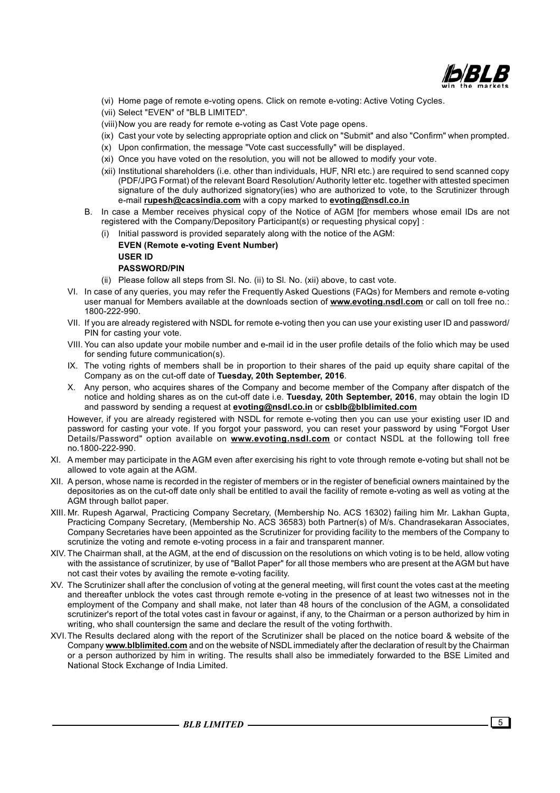

- (vi) Home page of remote e-voting opens. Click on remote e-voting: Active Voting Cycles.
- (vii) Select "EVEN" of "BLB LIMITED".
- (viii)Now you are ready for remote e-voting as Cast Vote page opens.
- (ix) Cast your vote by selecting appropriate option and click on "Submit" and also "Confirm" when prompted.
- (x) Upon confirmation, the message "Vote cast successfully" will be displayed.
- (xi) Once you have voted on the resolution, you will not be allowed to modify your vote.
- (xii) Institutional shareholders (i.e. other than individuals, HUF, NRI etc.) are required to send scanned copy (PDF/JPG Format) of the relevant Board Resolution/ Authority letter etc. together with attested specimen signature of the duly authorized signatory(ies) who are authorized to vote, to the Scrutinizer through e-mail **rupesh@cacsindia.com** with a copy marked to **evoting@nsdl.co.in**
- B. In case a Member receives physical copy of the Notice of AGM [for members whose email IDs are not registered with the Company/Depository Participant(s) or requesting physical copy] :
	- (i) Initial password is provided separately along with the notice of the AGM: **EVEN (Remote e-voting Event Number) USER ID PASSWORD/PIN**
	- (ii) Please follow all steps from Sl. No. (ii) to Sl. No. (xii) above, to cast vote.
- VI. In case of any queries, you may refer the Frequently Asked Questions (FAQs) for Members and remote e-voting user manual for Members available at the downloads section of **www.evoting.nsdl.com** or call on toll free no.: 1800-222-990.
- VII. If you are already registered with NSDL for remote e-voting then you can use your existing user ID and password/ PIN for casting your vote.
- VIII. You can also update your mobile number and e-mail id in the user profile details of the folio which may be used for sending future communication(s).
- IX. The voting rights of members shall be in proportion to their shares of the paid up equity share capital of the Company as on the cut-off date of **Tuesday, 20th September, 2016**.
- X. Any person, who acquires shares of the Company and become member of the Company after dispatch of the notice and holding shares as on the cut-off date i.e. **Tuesday, 20th September, 2016**, may obtain the login ID and password by sending a request at **evoting@nsdl.co.in** or **csblb@blblimited.com**

However, if you are already registered with NSDL for remote e-voting then you can use your existing user ID and password for casting your vote. If you forgot your password, you can reset your password by using "Forgot User Details/Password" option available on **www.evoting.nsdl.com** or contact NSDL at the following toll free no.1800-222-990.

- XI. A member may participate in the AGM even after exercising his right to vote through remote e-voting but shall not be allowed to vote again at the AGM.
- XII. A person, whose name is recorded in the register of members or in the register of beneficial owners maintained by the depositories as on the cut-off date only shall be entitled to avail the facility of remote e-voting as well as voting at the AGM through ballot paper.
- XIII. Mr. Rupesh Agarwal, Practicing Company Secretary, (Membership No. ACS 16302) failing him Mr. Lakhan Gupta, Practicing Company Secretary, (Membership No. ACS 36583) both Partner(s) of M/s. Chandrasekaran Associates, Company Secretaries have been appointed as the Scrutinizer for providing facility to the members of the Company to scrutinize the voting and remote e-voting process in a fair and transparent manner.
- XIV. The Chairman shall, at the AGM, at the end of discussion on the resolutions on which voting is to be held, allow voting with the assistance of scrutinizer, by use of "Ballot Paper" for all those members who are present at the AGM but have not cast their votes by availing the remote e-voting facility.
- XV. The Scrutinizer shall after the conclusion of voting at the general meeting, will first count the votes cast at the meeting and thereafter unblock the votes cast through remote e-voting in the presence of at least two witnesses not in the employment of the Company and shall make, not later than 48 hours of the conclusion of the AGM, a consolidated scrutinizer's report of the total votes cast in favour or against, if any, to the Chairman or a person authorized by him in writing, who shall countersign the same and declare the result of the voting forthwith.
- XVI.The Results declared along with the report of the Scrutinizer shall be placed on the notice board & website of the Company **www.blblimited.com** and on the website of NSDL immediately after the declaration of result by the Chairman or a person authorized by him in writing. The results shall also be immediately forwarded to the BSE Limited and National Stock Exchange of India Limited.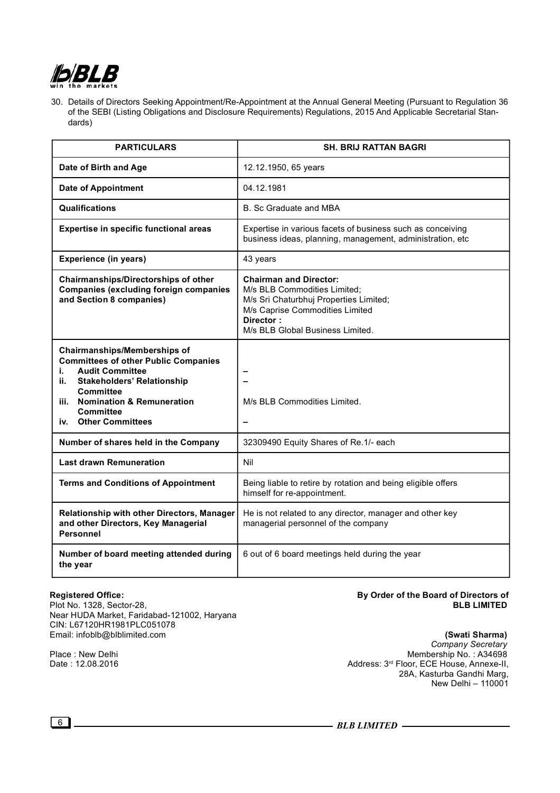

30. Details of Directors Seeking Appointment/Re-Appointment at the Annual General Meeting (Pursuant to Regulation 36 of the SEBI (Listing Obligations and Disclosure Requirements) Regulations, 2015 And Applicable Secretarial Standards)

| <b>PARTICULARS</b>                                                                                                                                                                                                                                                                       | <b>SH. BRIJ RATTAN BAGRI</b>                                                                                                                                                                |  |  |
|------------------------------------------------------------------------------------------------------------------------------------------------------------------------------------------------------------------------------------------------------------------------------------------|---------------------------------------------------------------------------------------------------------------------------------------------------------------------------------------------|--|--|
| Date of Birth and Age                                                                                                                                                                                                                                                                    | 12.12.1950, 65 years                                                                                                                                                                        |  |  |
| <b>Date of Appointment</b>                                                                                                                                                                                                                                                               | 04.12.1981                                                                                                                                                                                  |  |  |
| <b>Qualifications</b>                                                                                                                                                                                                                                                                    | B. Sc Graduate and MBA                                                                                                                                                                      |  |  |
| <b>Expertise in specific functional areas</b>                                                                                                                                                                                                                                            | Expertise in various facets of business such as conceiving<br>business ideas, planning, management, administration, etc                                                                     |  |  |
| <b>Experience (in years)</b>                                                                                                                                                                                                                                                             | 43 years                                                                                                                                                                                    |  |  |
| Chairmanships/Directorships of other<br><b>Companies (excluding foreign companies</b><br>and Section 8 companies)                                                                                                                                                                        | <b>Chairman and Director:</b><br>M/s BLB Commodities Limited;<br>M/s Sri Chaturbhuj Properties Limited;<br>M/s Caprise Commodities Limited<br>Director:<br>M/s BLB Global Business Limited. |  |  |
| <b>Chairmanships/Memberships of</b><br><b>Committees of other Public Companies</b><br><b>Audit Committee</b><br>i.<br><b>Stakeholders' Relationship</b><br>ii.<br><b>Committee</b><br><b>Nomination &amp; Remuneration</b><br>iii.<br><b>Committee</b><br><b>Other Committees</b><br>iv. | $\overline{\phantom{0}}$<br>M/s BLB Commodities Limited.<br>$\overline{\phantom{0}}$                                                                                                        |  |  |
| Number of shares held in the Company                                                                                                                                                                                                                                                     | 32309490 Equity Shares of Re.1/- each                                                                                                                                                       |  |  |
| <b>Last drawn Remuneration</b>                                                                                                                                                                                                                                                           | Nil                                                                                                                                                                                         |  |  |
| <b>Terms and Conditions of Appointment</b>                                                                                                                                                                                                                                               | Being liable to retire by rotation and being eligible offers<br>himself for re-appointment.                                                                                                 |  |  |
| Relationship with other Directors, Manager<br>and other Directors, Key Managerial<br><b>Personnel</b>                                                                                                                                                                                    | He is not related to any director, manager and other key<br>managerial personnel of the company                                                                                             |  |  |
| Number of board meeting attended during<br>the year                                                                                                                                                                                                                                      | 6 out of 6 board meetings held during the year                                                                                                                                              |  |  |

Plot No. 1328, Sector-28, Near HUDA Market, Faridabad-121002, Haryana CIN: L67120HR1981PLC051078 Email: infoblb@blblimited.com **(Swati Sharma)**

**Registered Office: By Order of the Board of Directors of**

*Company Secretary* Place : New Delhi Membership No. : A34698<br>Date : 12.08.2016 Membership No. : A34698 Address: 3<sup>rd</sup> Floor, ECE House, Annexe-II, 28A, Kasturba Gandhi Marg, New Delhi – 110001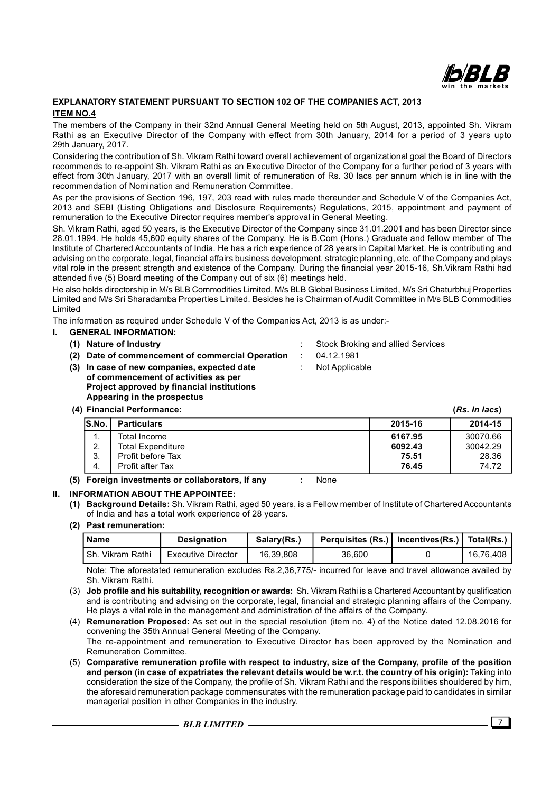

# **EXPLANATORY STATEMENT PURSUANT TO SECTION 102 OF THE COMPANIES ACT, 2013**

## **ITEM NO.4**

The members of the Company in their 32nd Annual General Meeting held on 5th August, 2013, appointed Sh. Vikram Rathi as an Executive Director of the Company with effect from 30th January, 2014 for a period of 3 years upto 29th January, 2017.

Considering the contribution of Sh. Vikram Rathi toward overall achievement of organizational goal the Board of Directors recommends to re-appoint Sh. Vikram Rathi as an Executive Director of the Company for a further period of 3 years with effect from 30th January, 2017 with an overall limit of remuneration of Rs. 30 lacs per annum which is in line with the recommendation of Nomination and Remuneration Committee.

As per the provisions of Section 196, 197, 203 read with rules made thereunder and Schedule V of the Companies Act, 2013 and SEBI (Listing Obligations and Disclosure Requirements) Regulations, 2015, appointment and payment of remuneration to the Executive Director requires member's approval in General Meeting.

Sh. Vikram Rathi, aged 50 years, is the Executive Director of the Company since 31.01.2001 and has been Director since 28.01.1994. He holds 45,600 equity shares of the Company. He is B.Com (Hons.) Graduate and fellow member of The Institute of Chartered Accountants of India. He has a rich experience of 28 years in Capital Market. He is contributing and advising on the corporate, legal, financial affairs business development, strategic planning, etc. of the Company and plays vital role in the present strength and existence of the Company. During the financial year 2015-16, Sh.Vikram Rathi had attended five (5) Board meeting of the Company out of six (6) meetings held.

He also holds directorship in M/s BLB Commodities Limited, M/s BLB Global Business Limited, M/s Sri Chaturbhuj Properties Limited and M/s Sri Sharadamba Properties Limited. Besides he is Chairman of Audit Committee in M/s BLB Commodities Limited

The information as required under Schedule V of the Companies Act, 2013 is as under:-

- **I. GENERAL INFORMATION:**
	-
	- **(2) Date of commencement of commercial Operation** : 04.12.1981
	- **(3) In case of new companies, expected date** : Not Applicable **of commencement of activities as per Project approved by financial institutions Appearing in the prospectus**
	- **(1) Nature of Industry** : Stock Broking and allied Services
		-
		-
	- **(4) Financial Performance: (***Rs. In lacs***)**

| S.No. | <b>Particulars</b>       | 2015-16 | 2014-15  |
|-------|--------------------------|---------|----------|
| . .   | Total Income             | 6167.95 | 30070.66 |
| 2.    | <b>Total Expenditure</b> | 6092.43 | 30042.29 |
| 3.    | Profit before Tax        | 75.51   | 28.36    |
| -4.   | Profit after Tax         | 76.45   | 74.72    |

**(5) Foreign investments or collaborators, If any :** None

## **II. INFORMATION ABOUT THE APPOINTEE:**

**(1) Background Details:** Sh. Vikram Rathi, aged 50 years, is a Fellow member of Institute of Chartered Accountants of India and has a total work experience of 28 years.

|  | (2) Past remuneration: |
|--|------------------------|
|--|------------------------|

| Name             | <b>Designation</b> | Salary(Rs.) | Perquisites (Rs.)   Incentives (Rs.)   Total (Rs.) |           |
|------------------|--------------------|-------------|----------------------------------------------------|-----------|
| Sh. Vikram Rathi | Executive Director | 16,39,808   | 36.600                                             | 16,76,408 |

Note: The aforestated remuneration excludes Rs.2,36,775/- incurred for leave and travel allowance availed by Sh. Vikram Rathi.

- (3) **Job profile and his suitability, recognition or awards:** Sh. Vikram Rathi is a Chartered Accountant by qualification and is contributing and advising on the corporate, legal, financial and strategic planning affairs of the Company. He plays a vital role in the management and administration of the affairs of the Company.
- (4) **Remuneration Proposed:** As set out in the special resolution (item no. 4) of the Notice dated 12.08.2016 for convening the 35th Annual General Meeting of the Company.

The re-appointment and remuneration to Executive Director has been approved by the Nomination and Remuneration Committee.

(5) **Comparative remuneration profile with respect to industry, size of the Company, profile of the position and person (in case of expatriates the relevant details would be w.r.t. the country of his origin):** Taking into consideration the size of the Company, the profile of Sh. Vikram Rathi and the responsibilities shouldered by him, the aforesaid remuneration package commensurates with the remuneration package paid to candidates in similar managerial position in other Companies in the industry.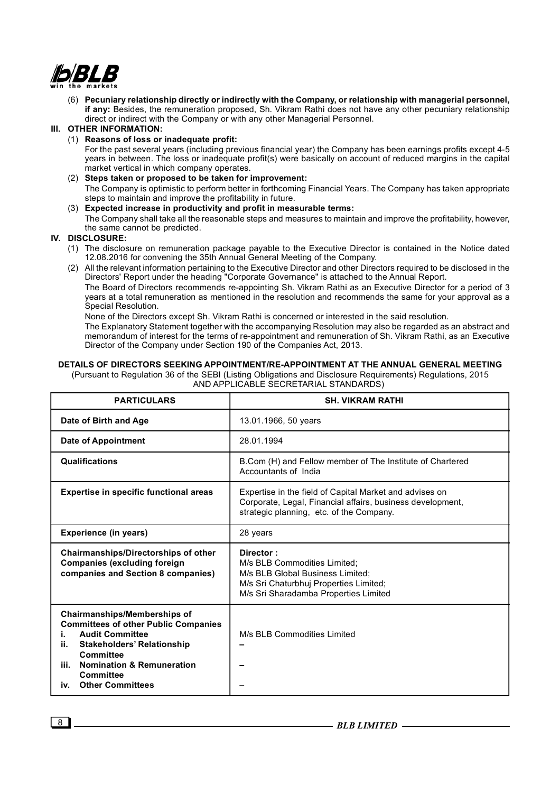

- (6) **Pecuniary relationship directly or indirectly with the Company, or relationship with managerial personnel, if any:** Besides, the remuneration proposed, Sh. Vikram Rathi does not have any other pecuniary relationship direct or indirect with the Company or with any other Managerial Personnel.
- **III. OTHER INFORMATION:**
	- (1) **Reasons of loss or inadequate profit:** For the past several years (including previous financial year) the Company has been earnings profits except 4-5 years in between. The loss or inadequate profit(s) were basically on account of reduced margins in the capital market vertical in which company operates.
	- (2) **Steps taken or proposed to be taken for improvement:** The Company is optimistic to perform better in forthcoming Financial Years. The Company has taken appropriate steps to maintain and improve the profitability in future.
	- (3) **Expected increase in productivity and profit in measurable terms:** The Company shall take all the reasonable steps and measures to maintain and improve the profitability, however, the same cannot be predicted.

### **IV. DISCLOSURE:**

- (1) The disclosure on remuneration package payable to the Executive Director is contained in the Notice dated 12.08.2016 for convening the 35th Annual General Meeting of the Company.
- (2) All the relevant information pertaining to the Executive Director and other Directors required to be disclosed in the Directors' Report under the heading "Corporate Governance" is attached to the Annual Report. The Board of Directors recommends re-appointing Sh. Vikram Rathi as an Executive Director for a period of 3 years at a total remuneration as mentioned in the resolution and recommends the same for your approval as a Special Resolution.

None of the Directors except Sh. Vikram Rathi is concerned or interested in the said resolution.

The Explanatory Statement together with the accompanying Resolution may also be regarded as an abstract and memorandum of interest for the terms of re-appointment and remuneration of Sh. Vikram Rathi, as an Executive Director of the Company under Section 190 of the Companies Act, 2013.

### **DETAILS OF DIRECTORS SEEKING APPOINTMENT/RE-APPOINTMENT AT THE ANNUAL GENERAL MEETING**

(Pursuant to Regulation 36 of the SEBI (Listing Obligations and Disclosure Requirements) Regulations, 2015 AND APPLICABLE SECRETARIAL STANDARDS)

| <b>PARTICULARS</b>                                                                                                                                                                                                                                                         | <b>SH. VIKRAM RATHI</b>                                                                                                                                           |  |
|----------------------------------------------------------------------------------------------------------------------------------------------------------------------------------------------------------------------------------------------------------------------------|-------------------------------------------------------------------------------------------------------------------------------------------------------------------|--|
| Date of Birth and Age                                                                                                                                                                                                                                                      | 13.01.1966, 50 years                                                                                                                                              |  |
| <b>Date of Appointment</b>                                                                                                                                                                                                                                                 | 28.01.1994                                                                                                                                                        |  |
| Qualifications                                                                                                                                                                                                                                                             | B.Com (H) and Fellow member of The Institute of Chartered<br>Accountants of India                                                                                 |  |
| Expertise in specific functional areas                                                                                                                                                                                                                                     | Expertise in the field of Capital Market and advises on<br>Corporate, Legal, Financial affairs, business development,<br>strategic planning, etc. of the Company. |  |
| <b>Experience (in years)</b>                                                                                                                                                                                                                                               | 28 years                                                                                                                                                          |  |
| <b>Chairmanships/Directorships of other</b><br><b>Companies (excluding foreign</b><br>companies and Section 8 companies)                                                                                                                                                   | Director:<br>M/s BLB Commodities Limited;<br>M/s BLB Global Business Limited;<br>M/s Sri Chaturbhuj Properties Limited;<br>M/s Sri Sharadamba Properties Limited  |  |
| Chairmanships/Memberships of<br><b>Committees of other Public Companies</b><br><b>Audit Committee</b><br>i.<br><b>Stakeholders' Relationship</b><br>ii.<br>Committee<br><b>Nomination &amp; Remuneration</b><br>iii.<br><b>Committee</b><br><b>Other Committees</b><br>iv. | M/s BLB Commodities Limited                                                                                                                                       |  |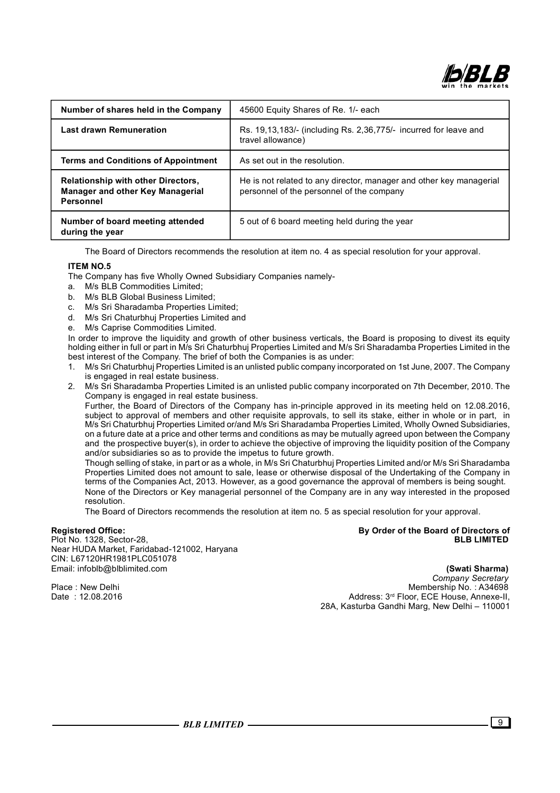

| Number of shares held in the Company                                                              | 45600 Equity Shares of Re. 1/- each                                                                              |
|---------------------------------------------------------------------------------------------------|------------------------------------------------------------------------------------------------------------------|
| <b>Last drawn Remuneration</b>                                                                    | Rs. 19,13,183/- (including Rs. 2,36,775/- incurred for leave and<br>travel allowance)                            |
| <b>Terms and Conditions of Appointment</b>                                                        | As set out in the resolution.                                                                                    |
| <b>Relationship with other Directors,</b><br><b>Manager and other Key Managerial</b><br>Personnel | He is not related to any director, manager and other key managerial<br>personnel of the personnel of the company |
| Number of board meeting attended<br>during the year                                               | 5 out of 6 board meeting held during the year                                                                    |

The Board of Directors recommends the resolution at item no. 4 as special resolution for your approval.

### **ITEM NO.5**

The Company has five Wholly Owned Subsidiary Companies namely-

- a. M/s BLB Commodities Limited;
- b. M/s BLB Global Business Limited;
- c. M/s Sri Sharadamba Properties Limited;
- d. M/s Sri Chaturbhuj Properties Limited and
- e. M/s Caprise Commodities Limited.

In order to improve the liquidity and growth of other business verticals, the Board is proposing to divest its equity holding either in full or part in M/s Sri Chaturbhuj Properties Limited and M/s Sri Sharadamba Properties Limited in the best interest of the Company. The brief of both the Companies is as under:

- 1. M/s Sri Chaturbhuj Properties Limited is an unlisted public company incorporated on 1st June, 2007. The Company is engaged in real estate business.
- 2. M/s Sri Sharadamba Properties Limited is an unlisted public company incorporated on 7th December, 2010. The Company is engaged in real estate business.

Further, the Board of Directors of the Company has in-principle approved in its meeting held on 12.08.2016, subject to approval of members and other requisite approvals, to sell its stake, either in whole or in part, in M/s Sri Chaturbhuj Properties Limited or/and M/s Sri Sharadamba Properties Limited, Wholly Owned Subsidiaries, on a future date at a price and other terms and conditions as may be mutually agreed upon between the Company and the prospective buyer(s), in order to achieve the objective of improving the liquidity position of the Company and/or subsidiaries so as to provide the impetus to future growth.

Though selling of stake, in part or as a whole, in M/s Sri Chaturbhuj Properties Limited and/or M/s Sri Sharadamba Properties Limited does not amount to sale, lease or otherwise disposal of the Undertaking of the Company in terms of the Companies Act, 2013. However, as a good governance the approval of members is being sought. None of the Directors or Key managerial personnel of the Company are in any way interested in the proposed resolution.

The Board of Directors recommends the resolution at item no. 5 as special resolution for your approval.

Plot No. 1328, Sector-28, Near HUDA Market, Faridabad-121002, Haryana CIN: L67120HR1981PLC051078 Email: infoblb@blblimited.com **(Swati Sharma)**

**Registered Office: By Order of the Board of Directors of**

*Company Secretary* Place : New Delhi Membership No. : A34698 Date : 12.08.2016 **Date : 12.08.2016** Address: 3<sup>rd</sup> Floor, ECE House, Annexe-II, 28A, Kasturba Gandhi Marg, New Delhi – 110001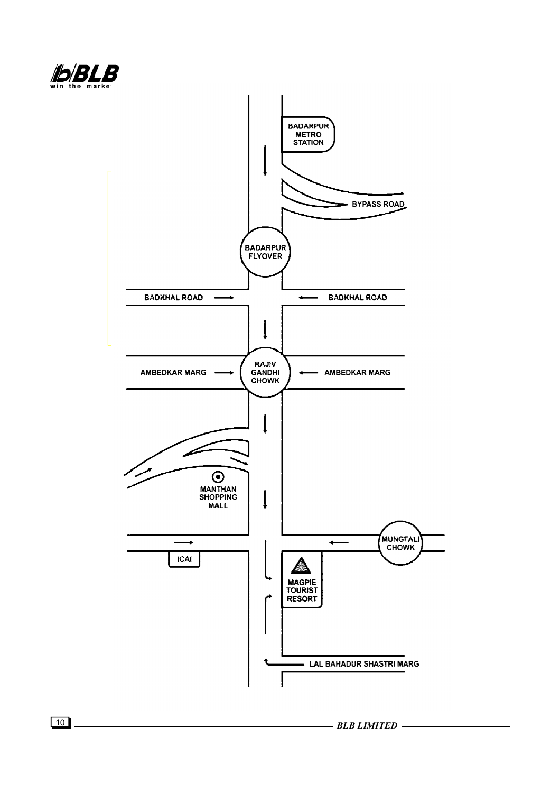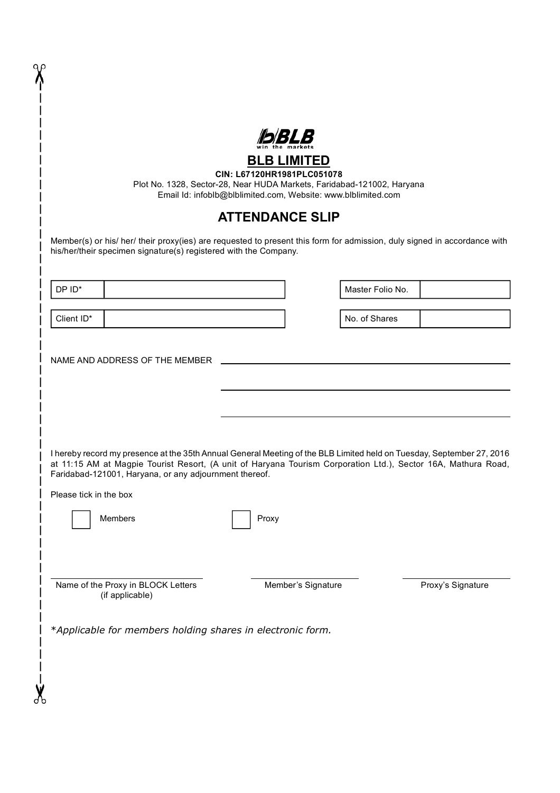|                        |                                                                                                                                                                                                                                                                                                  |                                                                                             | <b>Ib BLB</b>                                |                  |                   |
|------------------------|--------------------------------------------------------------------------------------------------------------------------------------------------------------------------------------------------------------------------------------------------------------------------------------------------|---------------------------------------------------------------------------------------------|----------------------------------------------|------------------|-------------------|
|                        | Plot No. 1328, Sector-28, Near HUDA Markets, Faridabad-121002, Haryana                                                                                                                                                                                                                           | CIN: L67120HR1981PLC051078<br>Email Id: infoblb@blblimited.com, Website: www.blblimited.com | <b>BLB LIMITED</b><br><b>ATTENDANCE SLIP</b> |                  |                   |
|                        | Member(s) or his/ her/ their proxy(ies) are requested to present this form for admission, duly signed in accordance with<br>his/her/their specimen signature(s) registered with the Company.                                                                                                     |                                                                                             |                                              |                  |                   |
| DP ID*                 |                                                                                                                                                                                                                                                                                                  |                                                                                             |                                              | Master Folio No. |                   |
| Client ID*             |                                                                                                                                                                                                                                                                                                  |                                                                                             |                                              | No. of Shares    |                   |
| Please tick in the box | I hereby record my presence at the 35th Annual General Meeting of the BLB Limited held on Tuesday, September 27, 2016<br>at 11:15 AM at Magpie Tourist Resort, (A unit of Haryana Tourism Corporation Ltd.), Sector 16A, Mathura Road,<br>Faridabad-121001, Haryana, or any adjournment thereof. |                                                                                             |                                              |                  |                   |
|                        | Members                                                                                                                                                                                                                                                                                          | Proxy                                                                                       |                                              |                  |                   |
|                        | Name of the Proxy in BLOCK Letters<br>(if applicable)                                                                                                                                                                                                                                            |                                                                                             | Member's Signature                           |                  | Proxy's Signature |
|                        | *Applicable for members holding shares in electronic form.                                                                                                                                                                                                                                       |                                                                                             |                                              |                  |                   |
|                        |                                                                                                                                                                                                                                                                                                  |                                                                                             |                                              |                  |                   |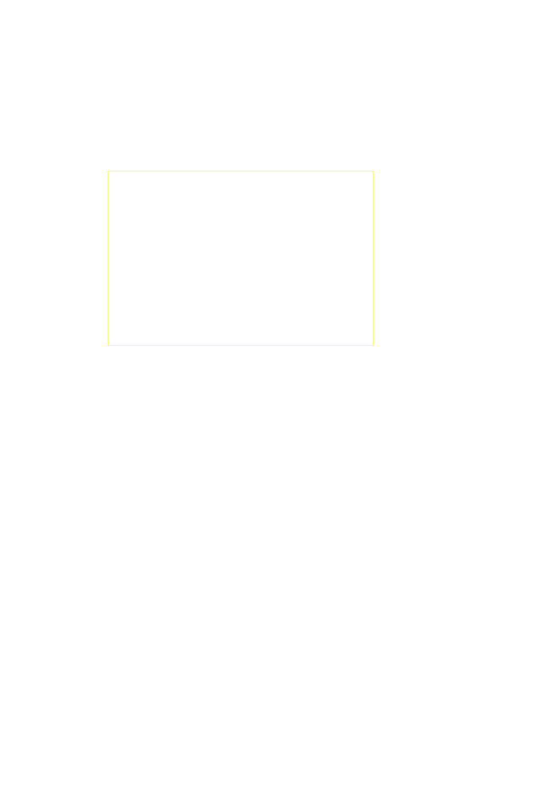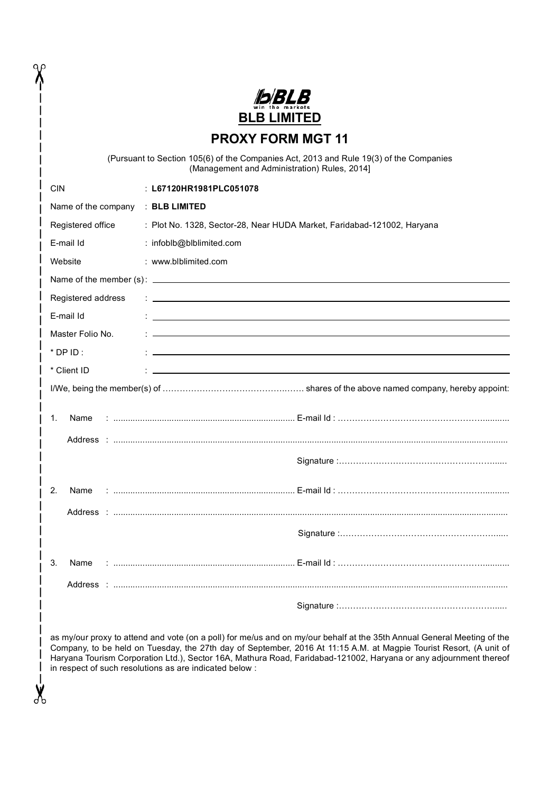|                     | <b>BLB LIMITED</b>                                                                                                                                                                                                                   |
|---------------------|--------------------------------------------------------------------------------------------------------------------------------------------------------------------------------------------------------------------------------------|
|                     | <b>PROXY FORM MGT 11</b>                                                                                                                                                                                                             |
|                     | (Pursuant to Section 105(6) of the Companies Act, 2013 and Rule 19(3) of the Companies<br>(Management and Administration) Rules, 2014]                                                                                               |
| <b>CIN</b>          | ∶L67120HR1981PLC051078                                                                                                                                                                                                               |
| Name of the company | : BLB LIMITED                                                                                                                                                                                                                        |
| Registered office   | : Plot No. 1328, Sector-28, Near HUDA Market, Faridabad-121002, Haryana                                                                                                                                                              |
| F-mail Id           | : infoblb@blblimited.com                                                                                                                                                                                                             |
| Website             | : www.blblimited.com                                                                                                                                                                                                                 |
|                     | Name of the member (s): $\sqrt{\frac{1}{2} \sum_{r=1}^{r} (r - 1)^r}$                                                                                                                                                                |
| Registered address  |                                                                                                                                                                                                                                      |
| E-mail Id           |                                                                                                                                                                                                                                      |
| Master Folio No.    | <u>. In the contract of the contract of the contract of the contract of the contract of the contract of the contract of the contract of the contract of the contract of the contract of the contract of the contract of the cont</u> |
| $*$ DP ID :         |                                                                                                                                                                                                                                      |
| * Client ID         |                                                                                                                                                                                                                                      |
|                     |                                                                                                                                                                                                                                      |
| Name<br>1.          |                                                                                                                                                                                                                                      |
|                     |                                                                                                                                                                                                                                      |
|                     |                                                                                                                                                                                                                                      |
| 2.<br>Name          |                                                                                                                                                                                                                                      |
|                     |                                                                                                                                                                                                                                      |
| 3.<br>Name          |                                                                                                                                                                                                                                      |
|                     |                                                                                                                                                                                                                                      |

 $\chi$ 

 $\chi$ 

as my/our proxy to attend and vote (on a poll) for me/us and on my/our behalf at the 35th Annual General Meeting of the Company, to be held on Tuesday, the 27th day of September, 2016 At 11:15 A.M. at Magpie Tourist Resort, (A unit of Haryana Tourism Corporation Ltd.), Sector 16A, Mathura Road, Faridabad-121002, Haryana or any adjournment thereof in respect of such resolutions as are indicated below :